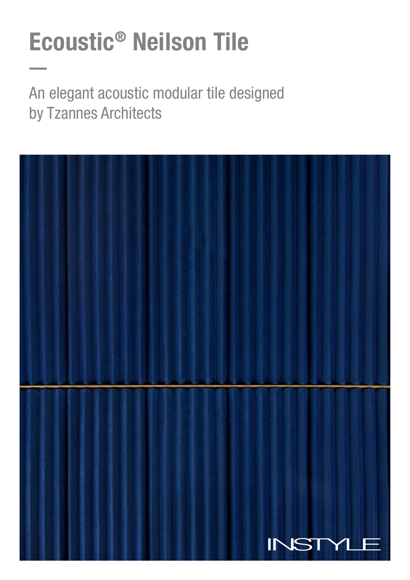# Ecoustic® Neilson Tile

An elegant acoustic modular tile designed by Tzannes Architects

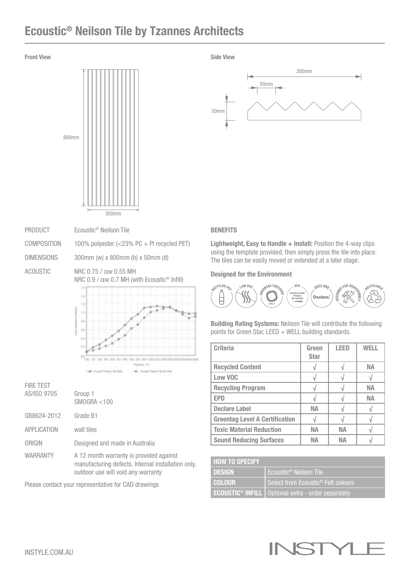## Ecoustic® Neilson Tile by Tzannes Architects



PRODUCT Ecoustic® Neilson Tile

COMPOSITION 100% polyester (<23% PC + PI recycled PET)

DIMENSIONS 300mm (w) x 800mm (h) x 50mm (d)

ACOUSTIC NRC 0.75 / αw 0.55 MH NRC 0.9 / αw 0.7 MH (with Ecoustic® Infill)



| <b>FIRE TEST</b> |                                                                                                                                     |
|------------------|-------------------------------------------------------------------------------------------------------------------------------------|
| AS/ISO 9705      | Group 1<br>SMOGRA < 100                                                                                                             |
| GB8624-2012      | Grade B1                                                                                                                            |
| APPLICATION      | wall tiles                                                                                                                          |
| ORIGIN           | Designed and made in Australia                                                                                                      |
| <b>WARRANTY</b>  | A 12 month warranty is provided against<br>manufacturing defects. Internal installation only,<br>outdoor use will void any warranty |

Please contact your representative for CAD drawings



#### **BENEFITS**

Lightweight, Easy to Handle + Install: Position the 4-way clips using the template provided, then simply press the tile into place. The tiles can be easily moved or extended at a later stage.

#### Designed for the Environment



Building Rating Systems: Neilson Tile will contribute the following points for Green Star, LEED + WELL building standards.

| <b>Criteria</b>                       | Green<br><b>Star</b> | LEED      | WFI I     |
|---------------------------------------|----------------------|-----------|-----------|
| <b>Recycled Content</b>               |                      |           | NА        |
| Low VOC                               |                      |           |           |
| <b>Recycling Program</b>              |                      |           | NА        |
| <b>EPD</b>                            |                      |           | <b>NA</b> |
| <b>Declare Label</b>                  | NА                   |           |           |
| <b>Greentag Level A Certification</b> |                      |           |           |
| <b>Toxic Material Reduction</b>       | <b>NA</b>            | <b>NA</b> |           |
| <b>Sound Reducing Surfaces</b>        | NΔ                   | NΔ        |           |

| <b>HOW TO SPECIFY</b> |                                                                        |  |
|-----------------------|------------------------------------------------------------------------|--|
| <b>DESIGN</b>         | Ecoustic <sup>®</sup> Neilson Tile                                     |  |
| I COLOUR'             | Select from Ecoustic <sup>®</sup> Felt colours                         |  |
|                       | <b>ECOUSTIC<sup>®</sup> INFILL</b>   Optional extra - order separately |  |